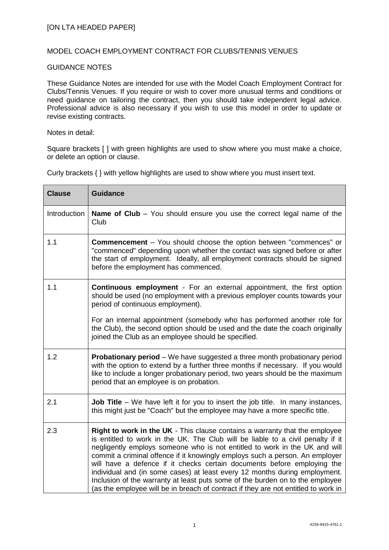## MODEL COACH EMPLOYMENT CONTRACT FOR CLUBS/TENNIS VENUES

## GUIDANCE NOTES

These Guidance Notes are intended for use with the Model Coach Employment Contract for Clubs/Tennis Venues. If you require or wish to cover more unusual terms and conditions or need guidance on tailoring the contract, then you should take independent legal advice. Professional advice is also necessary if you wish to use this model in order to update or revise existing contracts.

## Notes in detail:

Square brackets [ ] with green highlights are used to show where you must make a choice, or delete an option or clause.

| <b>Clause</b> | <b>Guidance</b>                                                                                                                                                                                                                                                                                                                                                                                                                                                                                                                                                                                                                                              |
|---------------|--------------------------------------------------------------------------------------------------------------------------------------------------------------------------------------------------------------------------------------------------------------------------------------------------------------------------------------------------------------------------------------------------------------------------------------------------------------------------------------------------------------------------------------------------------------------------------------------------------------------------------------------------------------|
| Introduction  | <b>Name of Club</b> – You should ensure you use the correct legal name of the<br>Club                                                                                                                                                                                                                                                                                                                                                                                                                                                                                                                                                                        |
| 1.1           | <b>Commencement</b> – You should choose the option between "commences" or<br>"commenced" depending upon whether the contact was signed before or after<br>the start of employment. Ideally, all employment contracts should be signed<br>before the employment has commenced.                                                                                                                                                                                                                                                                                                                                                                                |
| 1.1           | <b>Continuous employment</b> - For an external appointment, the first option<br>should be used (no employment with a previous employer counts towards your<br>period of continuous employment).                                                                                                                                                                                                                                                                                                                                                                                                                                                              |
|               | For an internal appointment (somebody who has performed another role for<br>the Club), the second option should be used and the date the coach originally<br>joined the Club as an employee should be specified.                                                                                                                                                                                                                                                                                                                                                                                                                                             |
| 1.2           | <b>Probationary period</b> – We have suggested a three month probationary period<br>with the option to extend by a further three months if necessary. If you would<br>like to include a longer probationary period, two years should be the maximum<br>period that an employee is on probation.                                                                                                                                                                                                                                                                                                                                                              |
| 2.1           | <b>Job Title</b> – We have left it for you to insert the job title. In many instances,<br>this might just be "Coach" but the employee may have a more specific title.                                                                                                                                                                                                                                                                                                                                                                                                                                                                                        |
| 2.3           | Right to work in the UK - This clause contains a warranty that the employee<br>is entitled to work in the UK. The Club will be liable to a civil penalty if it<br>negligently employs someone who is not entitled to work in the UK and will<br>commit a criminal offence if it knowingly employs such a person. An employer<br>will have a defence if it checks certain documents before employing the<br>individual and (in some cases) at least every 12 months during employment.<br>Inclusion of the warranty at least puts some of the burden on to the employee<br>(as the employee will be in breach of contract if they are not entitled to work in |

Curly brackets { } with yellow highlights are used to show where you must insert text.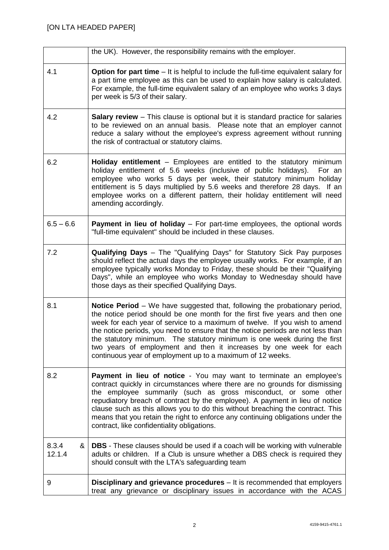|                      | the UK). However, the responsibility remains with the employer.                                                                                                                                                                                                                                                                                                                                                                                                                                                                                     |
|----------------------|-----------------------------------------------------------------------------------------------------------------------------------------------------------------------------------------------------------------------------------------------------------------------------------------------------------------------------------------------------------------------------------------------------------------------------------------------------------------------------------------------------------------------------------------------------|
| 4.1                  | <b>Option for part time</b> $-$ It is helpful to include the full-time equivalent salary for<br>a part time employee as this can be used to explain how salary is calculated.<br>For example, the full-time equivalent salary of an employee who works 3 days<br>per week is 5/3 of their salary.                                                                                                                                                                                                                                                   |
| 4.2                  | <b>Salary review</b> - This clause is optional but it is standard practice for salaries<br>to be reviewed on an annual basis. Please note that an employer cannot<br>reduce a salary without the employee's express agreement without running<br>the risk of contractual or statutory claims.                                                                                                                                                                                                                                                       |
| 6.2                  | <b>Holiday entitlement</b> – Employees are entitled to the statutory minimum<br>holiday entitlement of 5.6 weeks (inclusive of public holidays).<br>For an<br>employee who works 5 days per week, their statutory minimum holiday<br>entitlement is 5 days multiplied by 5.6 weeks and therefore 28 days. If an<br>employee works on a different pattern, their holiday entitlement will need<br>amending accordingly.                                                                                                                              |
| $6.5 - 6.6$          | Payment in lieu of holiday - For part-time employees, the optional words<br>"full-time equivalent" should be included in these clauses.                                                                                                                                                                                                                                                                                                                                                                                                             |
| 7.2                  | <b>Qualifying Days</b> – The "Qualifying Days" for Statutory Sick Pay purposes<br>should reflect the actual days the employee usually works. For example, if an<br>employee typically works Monday to Friday, these should be their "Qualifying<br>Days", while an employee who works Monday to Wednesday should have<br>those days as their specified Qualifying Days.                                                                                                                                                                             |
| 8.1                  | <b>Notice Period</b> – We have suggested that, following the probationary period,<br>the notice period should be one month for the first five years and then one<br>week for each year of service to a maximum of twelve. If you wish to amend<br>the notice periods, you need to ensure that the notice periods are not less than<br>the statutory minimum. The statutory minimum is one week during the first<br>two years of employment and then it increases by one week for each<br>continuous year of employment up to a maximum of 12 weeks. |
| 8.2                  | Payment in lieu of notice - You may want to terminate an employee's<br>contract quickly in circumstances where there are no grounds for dismissing<br>the employee summarily (such as gross misconduct, or some other<br>repudiatory breach of contract by the employee). A payment in lieu of notice<br>clause such as this allows you to do this without breaching the contract. This<br>means that you retain the right to enforce any continuing obligations under the<br>contract, like confidentiality obligations.                           |
| 8.3.4<br>&<br>12.1.4 | <b>DBS</b> - These clauses should be used if a coach will be working with vulnerable<br>adults or children. If a Club is unsure whether a DBS check is required they<br>should consult with the LTA's safeguarding team                                                                                                                                                                                                                                                                                                                             |
| 9                    | <b>Disciplinary and grievance procedures</b> – It is recommended that employers<br>treat any grievance or disciplinary issues in accordance with the ACAS                                                                                                                                                                                                                                                                                                                                                                                           |